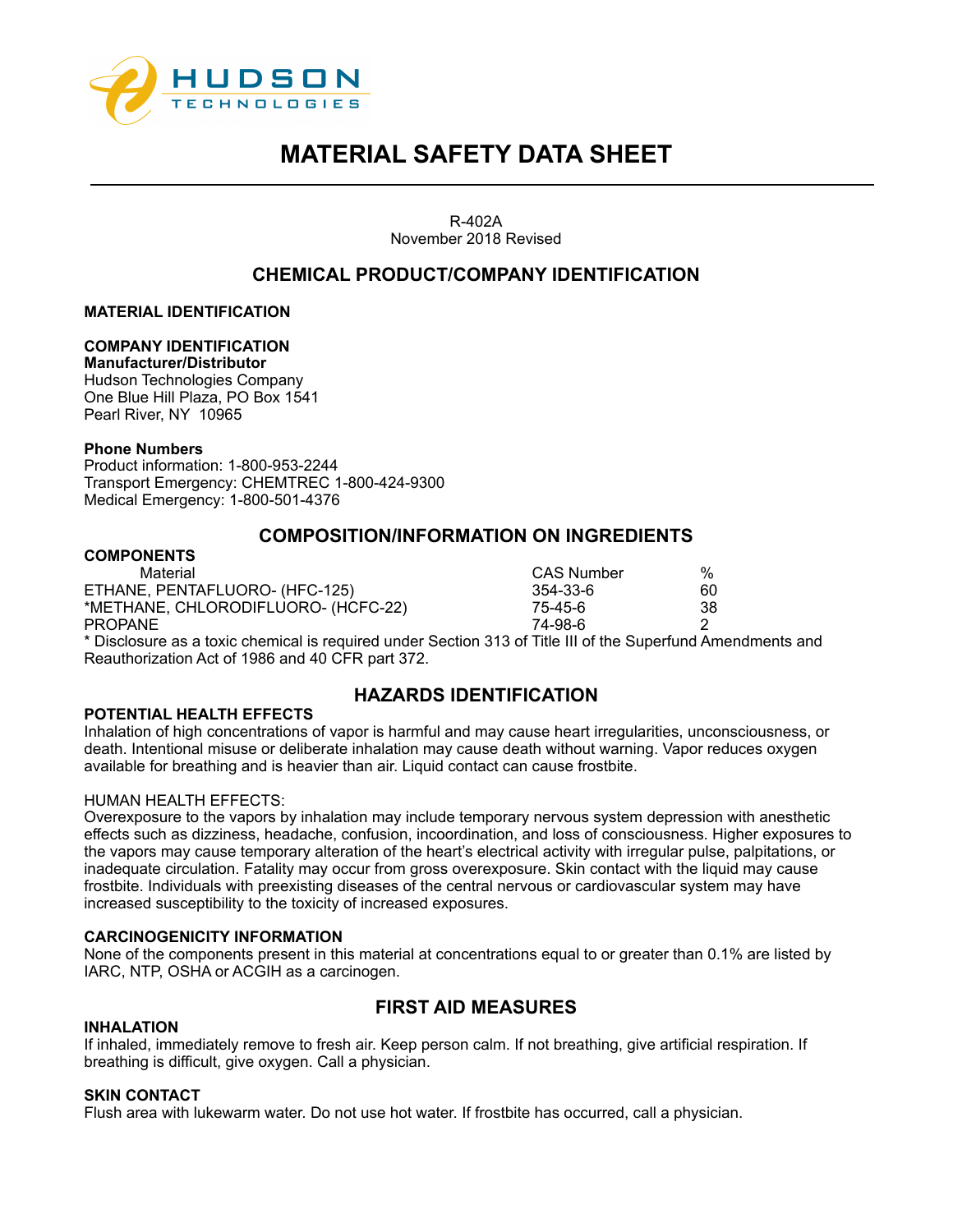

R-402A November 2018 Revised

## **CHEMICAL PRODUCT/COMPANY IDENTIFICATION**

**MATERIAL IDENTIFICATION**

#### **COMPANY IDENTIFICATION**

**Manufacturer/Distributor** 

Hudson Technologies Company One Blue Hill Plaza, PO Box 1541 Pearl River, NY 10965

#### **Phone Numbers**

Product information: 1-800-953-2244 Transport Emergency: CHEMTREC 1-800-424-9300 Medical Emergency: 1-800-501-4376

### **COMPOSITION/INFORMATION ON INGREDIENTS**

#### **COMPONENTS**

Material CAS Number % ETHANE, PENTAFLUORO- (HFC-125) 354-33-6 60 \*METHANE, CHLORODIFLUORO- (HCFC-22) 75-45-6 38 PROPANE 74-98-6 2

| S Number | %  |
|----------|----|
| -33-6    | 60 |
| 45-6     | 38 |
| റാ മ     |    |

\* Disclosure as a toxic chemical is required under Section 313 of Title III of the Superfund Amendments and Reauthorization Act of 1986 and 40 CFR part 372.

## **HAZARDS IDENTIFICATION**

#### **POTENTIAL HEALTH EFFECTS**

Inhalation of high concentrations of vapor is harmful and may cause heart irregularities, unconsciousness, or death. Intentional misuse or deliberate inhalation may cause death without warning. Vapor reduces oxygen available for breathing and is heavier than air. Liquid contact can cause frostbite.

#### HUMAN HEALTH EFFECTS:

Overexposure to the vapors by inhalation may include temporary nervous system depression with anesthetic effects such as dizziness, headache, confusion, incoordination, and loss of consciousness. Higher exposures to the vapors may cause temporary alteration of the heart's electrical activity with irregular pulse, palpitations, or inadequate circulation. Fatality may occur from gross overexposure. Skin contact with the liquid may cause frostbite. Individuals with preexisting diseases of the central nervous or cardiovascular system may have increased susceptibility to the toxicity of increased exposures.

#### **CARCINOGENICITY INFORMATION**

None of the components present in this material at concentrations equal to or greater than 0.1% are listed by IARC, NTP, OSHA or ACGIH as a carcinogen.

## **FIRST AID MEASURES**

#### **INHALATION**

If inhaled, immediately remove to fresh air. Keep person calm. If not breathing, give artificial respiration. If breathing is difficult, give oxygen. Call a physician.

#### **SKIN CONTACT**

Flush area with lukewarm water. Do not use hot water. If frostbite has occurred, call a physician.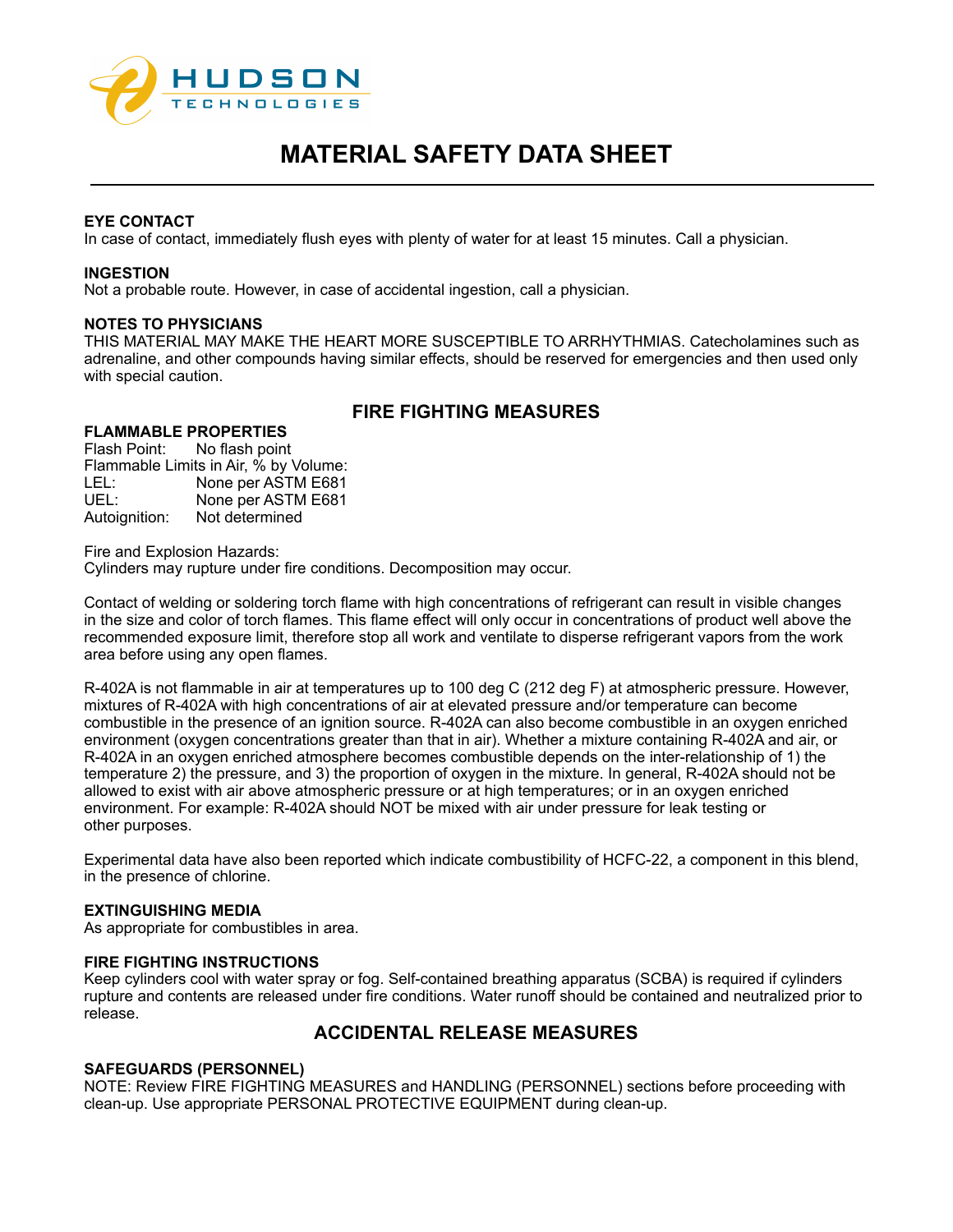

#### **EYE CONTACT**

In case of contact, immediately flush eyes with plenty of water for at least 15 minutes. Call a physician.

#### **INGESTION**

Not a probable route. However, in case of accidental ingestion, call a physician.

#### **NOTES TO PHYSICIANS**

THIS MATERIAL MAY MAKE THE HEART MORE SUSCEPTIBLE TO ARRHYTHMIAS. Catecholamines such as adrenaline, and other compounds having similar effects, should be reserved for emergencies and then used only with special caution.

## **FIRE FIGHTING MEASURES**

### **FLAMMABLE PROPERTIES**

Flash Point: No flash point Flammable Limits in Air, % by Volume: LEL: None per ASTM E681<br>UEL: None per ASTM E681 None per ASTM E681 Autoignition: Not determined

Fire and Explosion Hazards:

Cylinders may rupture under fire conditions. Decomposition may occur.

Contact of welding or soldering torch flame with high concentrations of refrigerant can result in visible changes in the size and color of torch flames. This flame effect will only occur in concentrations of product well above the recommended exposure limit, therefore stop all work and ventilate to disperse refrigerant vapors from the work area before using any open flames.

R-402A is not flammable in air at temperatures up to 100 deg C (212 deg F) at atmospheric pressure. However, mixtures of R-402A with high concentrations of air at elevated pressure and/or temperature can become combustible in the presence of an ignition source. R-402A can also become combustible in an oxygen enriched environment (oxygen concentrations greater than that in air). Whether a mixture containing R-402A and air, or R-402A in an oxygen enriched atmosphere becomes combustible depends on the inter-relationship of 1) the temperature 2) the pressure, and 3) the proportion of oxygen in the mixture. In general, R-402A should not be allowed to exist with air above atmospheric pressure or at high temperatures; or in an oxygen enriched environment. For example: R-402A should NOT be mixed with air under pressure for leak testing or other purposes.

Experimental data have also been reported which indicate combustibility of HCFC-22, a component in this blend, in the presence of chlorine.

#### **EXTINGUISHING MEDIA**

As appropriate for combustibles in area.

#### **FIRE FIGHTING INSTRUCTIONS**

Keep cylinders cool with water spray or fog. Self-contained breathing apparatus (SCBA) is required if cylinders rupture and contents are released under fire conditions. Water runoff should be contained and neutralized prior to release.

## **ACCIDENTAL RELEASE MEASURES**

#### **SAFEGUARDS (PERSONNEL)**

NOTE: Review FIRE FIGHTING MEASURES and HANDLING (PERSONNEL) sections before proceeding with clean-up. Use appropriate PERSONAL PROTECTIVE EQUIPMENT during clean-up.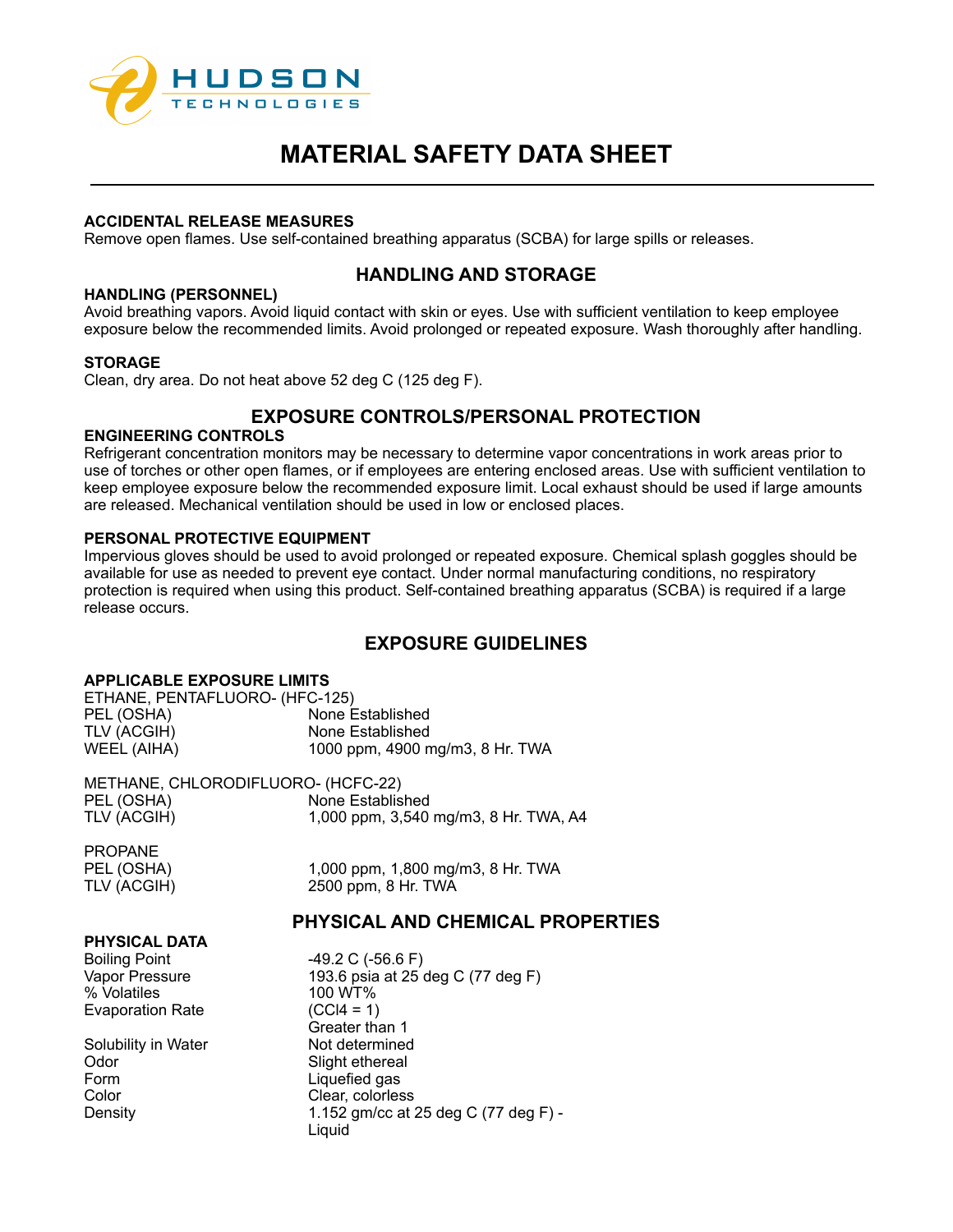

#### **ACCIDENTAL RELEASE MEASURES**

Remove open flames. Use self-contained breathing apparatus (SCBA) for large spills or releases.

## **HANDLING AND STORAGE**

#### **HANDLING (PERSONNEL)**

Avoid breathing vapors. Avoid liquid contact with skin or eyes. Use with sufficient ventilation to keep employee exposure below the recommended limits. Avoid prolonged or repeated exposure. Wash thoroughly after handling.

#### **STORAGE**

Clean, dry area. Do not heat above 52 deg C (125 deg F).

# **EXPOSURE CONTROLS/PERSONAL PROTECTION**

#### **ENGINEERING CONTROLS**

Refrigerant concentration monitors may be necessary to determine vapor concentrations in work areas prior to use of torches or other open flames, or if employees are entering enclosed areas. Use with sufficient ventilation to keep employee exposure below the recommended exposure limit. Local exhaust should be used if large amounts are released. Mechanical ventilation should be used in low or enclosed places.

#### **PERSONAL PROTECTIVE EQUIPMENT**

Impervious gloves should be used to avoid prolonged or repeated exposure. Chemical splash goggles should be available for use as needed to prevent eye contact. Under normal manufacturing conditions, no respiratory protection is required when using this product. Self-contained breathing apparatus (SCBA) is required if a large release occurs.

## **EXPOSURE GUIDELINES**

#### **APPLICABLE EXPOSURE LIMITS**

| ETHANE, PENTAFLUORO- (HFC-125) |                                 |  |
|--------------------------------|---------------------------------|--|
| PEL (OSHA)                     | None Established                |  |
| TLV (ACGIH)                    | None Established                |  |
| WEEL (AIHA)                    | 1000 ppm, 4900 mg/m3, 8 Hr. TWA |  |

METHANE, CHLORODIFLUORO- (HCFC-22) PEL (OSHA) None Established TLV (ACGIH) 1,000 ppm, 3,540 mg/m3, 8 Hr. TWA, A4

PROPANE<br>PEL (OSHA)

1,000 ppm, 1,800 mg/m3, 8 Hr. TWA TLV (ACGIH) 2500 ppm, 8 Hr. TWA

## **PHYSICAL AND CHEMICAL PROPERTIES**

#### **PHYSICAL DATA**

Boiling Point -49.2 C (-56.6 F)<br>Vapor Pressure - 193.6 psia at 25 % Volatiles 100 WT% Evaporation Rate

Solubility in Water Not determined Odor Slight ethereal<br>
Form Communication Communications Communications Communications Communications Communications Communications<br>
Communications Communications Communications Communications Communications Communications Color Clear, colorless

193.6 psia at 25 deg C (77 deg F) Greater than 1 Liquefied gas Density 1.152 gm/cc at 25 deg C (77 deg F) - Liquid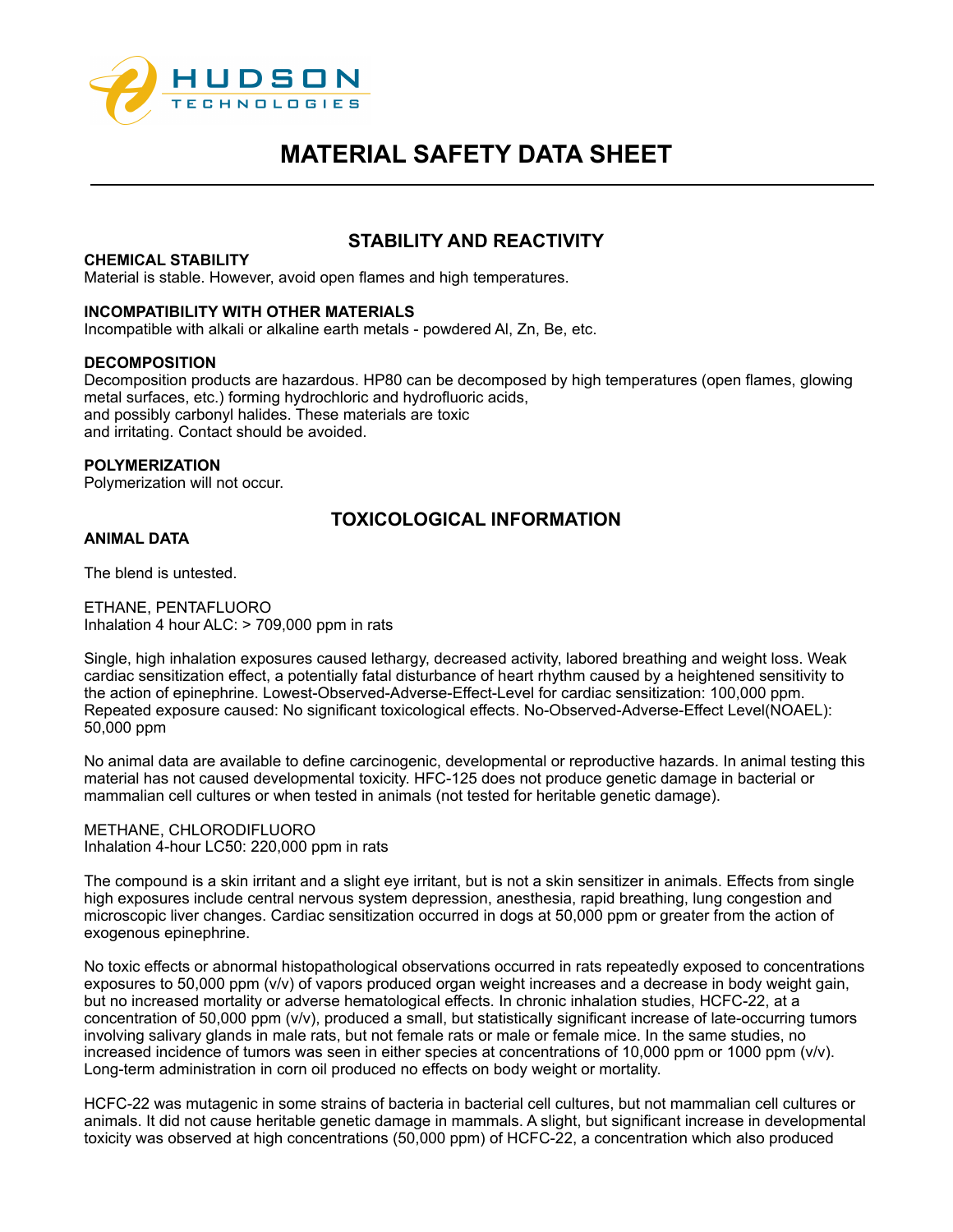

## **STABILITY AND REACTIVITY**

#### **CHEMICAL STABILITY**

Material is stable. However, avoid open flames and high temperatures.

#### **INCOMPATIBILITY WITH OTHER MATERIALS**

Incompatible with alkali or alkaline earth metals - powdered Al, Zn, Be, etc.

#### **DECOMPOSITION**

Decomposition products are hazardous. HP80 can be decomposed by high temperatures (open flames, glowing metal surfaces, etc.) forming hydrochloric and hydrofluoric acids, and possibly carbonyl halides. These materials are toxic and irritating. Contact should be avoided.

#### **POLYMERIZATION**

Polymerization will not occur.

## **TOXICOLOGICAL INFORMATION**

## **ANIMAL DATA**

The blend is untested.

ETHANE, PENTAFLUORO Inhalation 4 hour ALC: > 709,000 ppm in rats

Single, high inhalation exposures caused lethargy, decreased activity, labored breathing and weight loss. Weak cardiac sensitization effect, a potentially fatal disturbance of heart rhythm caused by a heightened sensitivity to the action of epinephrine. Lowest-Observed-Adverse-Effect-Level for cardiac sensitization: 100,000 ppm. Repeated exposure caused: No significant toxicological effects. No-Observed-Adverse-Effect Level(NOAEL): 50,000 ppm

No animal data are available to define carcinogenic, developmental or reproductive hazards. In animal testing this material has not caused developmental toxicity. HFC-125 does not produce genetic damage in bacterial or mammalian cell cultures or when tested in animals (not tested for heritable genetic damage).

METHANE, CHLORODIFLUORO Inhalation 4-hour LC50: 220,000 ppm in rats

The compound is a skin irritant and a slight eye irritant, but is not a skin sensitizer in animals. Effects from single high exposures include central nervous system depression, anesthesia, rapid breathing, lung congestion and microscopic liver changes. Cardiac sensitization occurred in dogs at 50,000 ppm or greater from the action of exogenous epinephrine.

No toxic effects or abnormal histopathological observations occurred in rats repeatedly exposed to concentrations exposures to 50,000 ppm (v/v) of vapors produced organ weight increases and a decrease in body weight gain, but no increased mortality or adverse hematological effects. In chronic inhalation studies, HCFC-22, at a concentration of 50,000 ppm (v/v), produced a small, but statistically significant increase of late-occurring tumors involving salivary glands in male rats, but not female rats or male or female mice. In the same studies, no increased incidence of tumors was seen in either species at concentrations of 10,000 ppm or 1000 ppm (v/v). Long-term administration in corn oil produced no effects on body weight or mortality.

HCFC-22 was mutagenic in some strains of bacteria in bacterial cell cultures, but not mammalian cell cultures or animals. It did not cause heritable genetic damage in mammals. A slight, but significant increase in developmental toxicity was observed at high concentrations (50,000 ppm) of HCFC-22, a concentration which also produced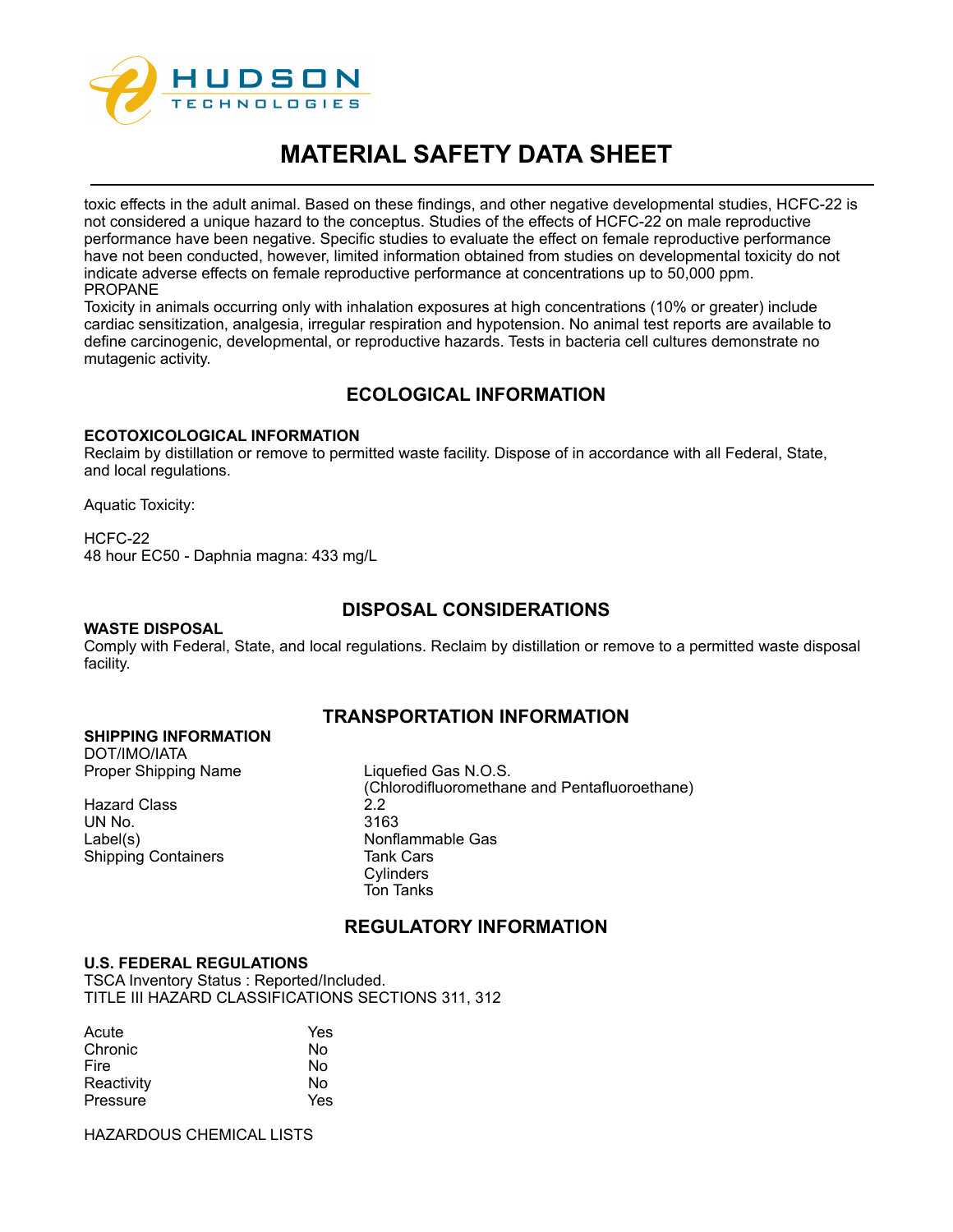

toxic effects in the adult animal. Based on these findings, and other negative developmental studies, HCFC-22 is not considered a unique hazard to the conceptus. Studies of the effects of HCFC-22 on male reproductive performance have been negative. Specific studies to evaluate the effect on female reproductive performance have not been conducted, however, limited information obtained from studies on developmental toxicity do not indicate adverse effects on female reproductive performance at concentrations up to 50,000 ppm. PROPANE

Toxicity in animals occurring only with inhalation exposures at high concentrations (10% or greater) include cardiac sensitization, analgesia, irregular respiration and hypotension. No animal test reports are available to define carcinogenic, developmental, or reproductive hazards. Tests in bacteria cell cultures demonstrate no mutagenic activity.

## **ECOLOGICAL INFORMATION**

#### **ECOTOXICOLOGICAL INFORMATION**

Reclaim by distillation or remove to permitted waste facility. Dispose of in accordance with all Federal, State, and local regulations.

Aquatic Toxicity:

#### HCFC-22

48 hour EC50 - Daphnia magna: 433 mg/L

## **DISPOSAL CONSIDERATIONS**

#### **WASTE DISPOSAL**

Comply with Federal, State, and local regulations. Reclaim by distillation or remove to a permitted waste disposal facility.

## **TRANSPORTATION INFORMATION**

#### **SHIPPING INFORMATION**

DOT/IMO/IATA Proper Shipping Name Liquefied Gas N.O.S.

Hazard Class 2.2<br>1 UN No 2163 UN No. Label(s) Nonflammable Gas Shipping Containers

(Chlorodifluoromethane and Pentafluoroethane) **Cylinders** Ton Tanks

## **REGULATORY INFORMATION**

#### **U.S. FEDERAL REGULATIONS**

TSCA Inventory Status : Reported/Included. TITLE III HAZARD CLASSIFICATIONS SECTIONS 311, 312

| Acute      | Yes |
|------------|-----|
| Chronic    | N٥  |
| Fire       | Nο  |
| Reactivity | Nο  |
| Pressure   | Yes |

HAZARDOUS CHEMICAL LISTS